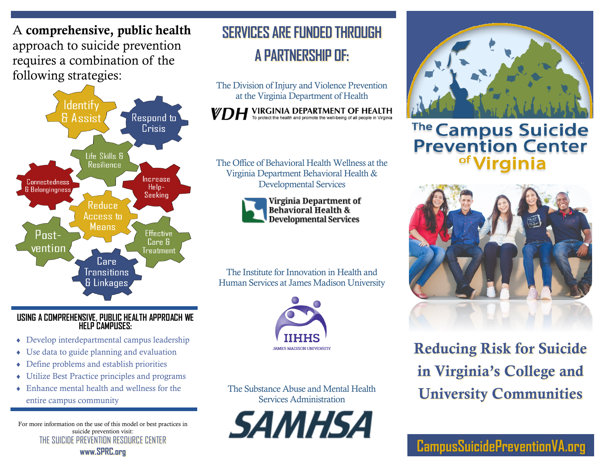A comprehensive, public health approach to suicide prevention requires a combination of the following strategies:



#### **USING A COMPREHENSIVE, PUBLIC HEALTH APPROACH WE HELP CAMPUSES:**

- Develop interdepartmental campus leadership
- Use data to guide planning and evaluation
- Define problems and establish priorities
- Utilize Best Practice principles and programs
- Enhance mental health and wellness for the entire campus community

For more information on the use of this model or best practices in suicide prevention visit: THE SUICIDE PREVENTION RESOURCE CENTER **www.SPRC.org**

## **SERVICES ARE FUNDED THROUGH A PARTNERSHIP OF:**

The Division of Injury and Violence Prevention at the Virginia Department of Health

 $\sum$   $H$  VIRGINIA DEPARTMENT OF HEALTH To protect the health and promote the well-being of all people in Virginia

The Office of Behavioral Health Wellness at the Virginia Department Behavioral Health & Developmental Services



Virginia Department of **Behavioral Health & Developmental Services** 

The Institute for Innovation in Health and Human Services at James Madison University



The Substance Abuse and Mental Health Services Administration





The Campus Suicide<br>Prevention Center



Reducing Risk for Suicide in Virginia's College and University Communities

**CampusSuicidePreventionVA.org**